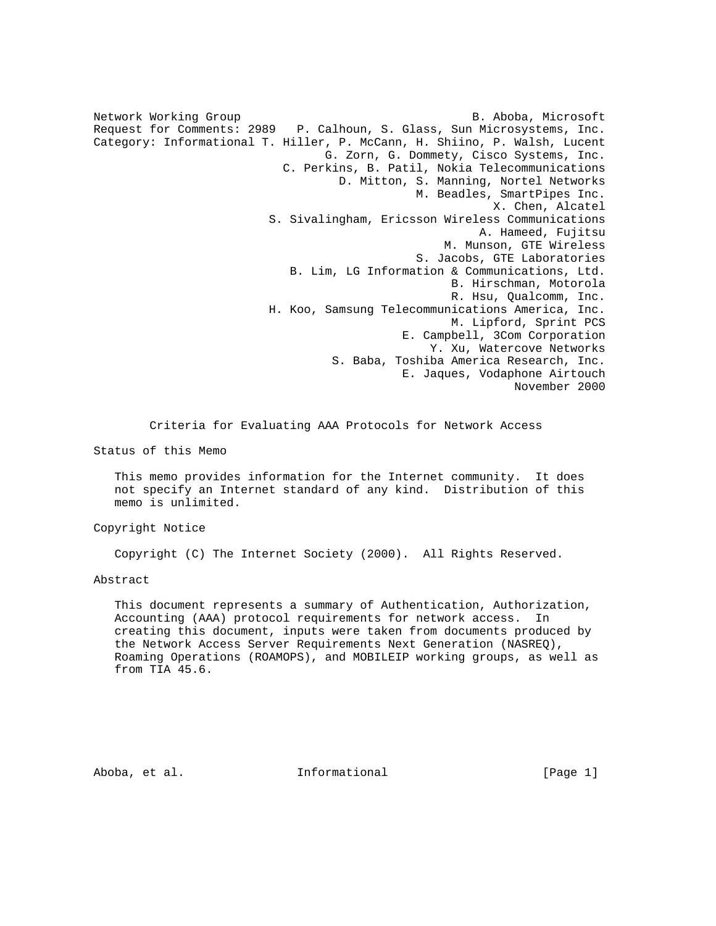Network Working Group **B. Aboba, Microsoft** Request for Comments: 2989 P. Calhoun, S. Glass, Sun Microsystems, Inc. Category: Informational T. Hiller, P. McCann, H. Shiino, P. Walsh, Lucent G. Zorn, G. Dommety, Cisco Systems, Inc. C. Perkins, B. Patil, Nokia Telecommunications D. Mitton, S. Manning, Nortel Networks M. Beadles, SmartPipes Inc. X. Chen, Alcatel S. Sivalingham, Ericsson Wireless Communications A. Hameed, Fujitsu M. Munson, GTE Wireless S. Jacobs, GTE Laboratories B. Lim, LG Information & Communications, Ltd. B. Hirschman, Motorola R. Hsu, Qualcomm, Inc. H. Koo, Samsung Telecommunications America, Inc. M. Lipford, Sprint PCS E. Campbell, 3Com Corporation Y. Xu, Watercove Networks S. Baba, Toshiba America Research, Inc. E. Jaques, Vodaphone Airtouch November 2000

Criteria for Evaluating AAA Protocols for Network Access

Status of this Memo

 This memo provides information for the Internet community. It does not specify an Internet standard of any kind. Distribution of this memo is unlimited.

Copyright Notice

Copyright (C) The Internet Society (2000). All Rights Reserved.

Abstract

 This document represents a summary of Authentication, Authorization, Accounting (AAA) protocol requirements for network access. In creating this document, inputs were taken from documents produced by the Network Access Server Requirements Next Generation (NASREQ), Roaming Operations (ROAMOPS), and MOBILEIP working groups, as well as from TIA 45.6.

Aboba, et al. Informational [Page 1]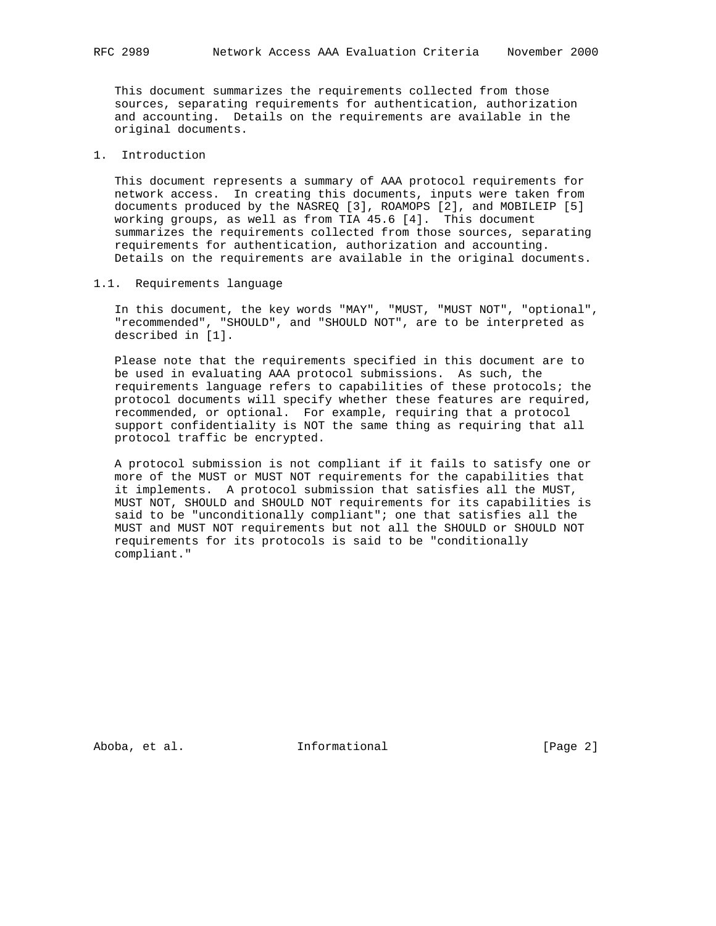This document summarizes the requirements collected from those sources, separating requirements for authentication, authorization and accounting. Details on the requirements are available in the original documents.

## 1. Introduction

 This document represents a summary of AAA protocol requirements for network access. In creating this documents, inputs were taken from documents produced by the NASREQ [3], ROAMOPS [2], and MOBILEIP [5] working groups, as well as from TIA 45.6 [4]. This document summarizes the requirements collected from those sources, separating requirements for authentication, authorization and accounting. Details on the requirements are available in the original documents.

### 1.1. Requirements language

 In this document, the key words "MAY", "MUST, "MUST NOT", "optional", "recommended", "SHOULD", and "SHOULD NOT", are to be interpreted as described in [1].

 Please note that the requirements specified in this document are to be used in evaluating AAA protocol submissions. As such, the requirements language refers to capabilities of these protocols; the protocol documents will specify whether these features are required, recommended, or optional. For example, requiring that a protocol support confidentiality is NOT the same thing as requiring that all protocol traffic be encrypted.

 A protocol submission is not compliant if it fails to satisfy one or more of the MUST or MUST NOT requirements for the capabilities that it implements. A protocol submission that satisfies all the MUST, MUST NOT, SHOULD and SHOULD NOT requirements for its capabilities is said to be "unconditionally compliant"; one that satisfies all the MUST and MUST NOT requirements but not all the SHOULD or SHOULD NOT requirements for its protocols is said to be "conditionally compliant."

Aboba, et al. 10 Informational 1000 [Page 2]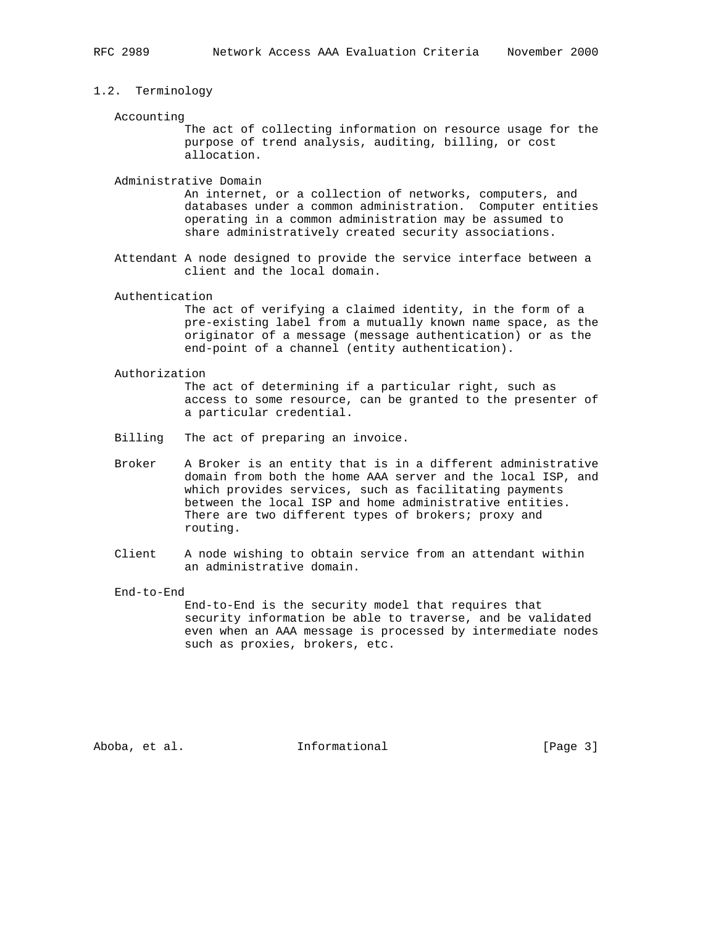## 1.2. Terminology

#### Accounting

 The act of collecting information on resource usage for the purpose of trend analysis, auditing, billing, or cost allocation.

Administrative Domain

 An internet, or a collection of networks, computers, and databases under a common administration. Computer entities operating in a common administration may be assumed to share administratively created security associations.

 Attendant A node designed to provide the service interface between a client and the local domain.

## Authentication

 The act of verifying a claimed identity, in the form of a pre-existing label from a mutually known name space, as the originator of a message (message authentication) or as the end-point of a channel (entity authentication).

#### Authorization

 The act of determining if a particular right, such as access to some resource, can be granted to the presenter of a particular credential.

- Billing The act of preparing an invoice.
- Broker A Broker is an entity that is in a different administrative domain from both the home AAA server and the local ISP, and which provides services, such as facilitating payments between the local ISP and home administrative entities. There are two different types of brokers; proxy and routing.
- Client A node wishing to obtain service from an attendant within an administrative domain.

End-to-End

 End-to-End is the security model that requires that security information be able to traverse, and be validated even when an AAA message is processed by intermediate nodes such as proxies, brokers, etc.

Aboba, et al. **Informational** [Page 3]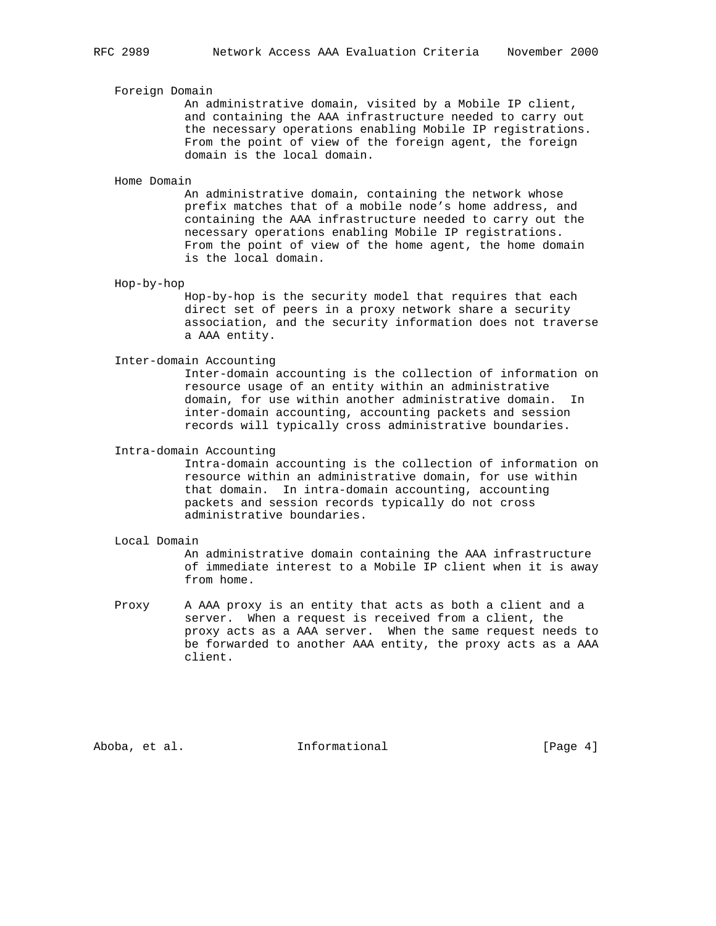### Foreign Domain

 An administrative domain, visited by a Mobile IP client, and containing the AAA infrastructure needed to carry out the necessary operations enabling Mobile IP registrations. From the point of view of the foreign agent, the foreign domain is the local domain.

#### Home Domain

 An administrative domain, containing the network whose prefix matches that of a mobile node's home address, and containing the AAA infrastructure needed to carry out the necessary operations enabling Mobile IP registrations. From the point of view of the home agent, the home domain is the local domain.

### Hop-by-hop

 Hop-by-hop is the security model that requires that each direct set of peers in a proxy network share a security association, and the security information does not traverse a AAA entity.

## Inter-domain Accounting

 Inter-domain accounting is the collection of information on resource usage of an entity within an administrative domain, for use within another administrative domain. In inter-domain accounting, accounting packets and session records will typically cross administrative boundaries.

### Intra-domain Accounting

 Intra-domain accounting is the collection of information on resource within an administrative domain, for use within that domain. In intra-domain accounting, accounting packets and session records typically do not cross administrative boundaries.

## Local Domain

 An administrative domain containing the AAA infrastructure of immediate interest to a Mobile IP client when it is away from home.

 Proxy A AAA proxy is an entity that acts as both a client and a server. When a request is received from a client, the proxy acts as a AAA server. When the same request needs to be forwarded to another AAA entity, the proxy acts as a AAA client.

Aboba, et al. **Informational** [Page 4]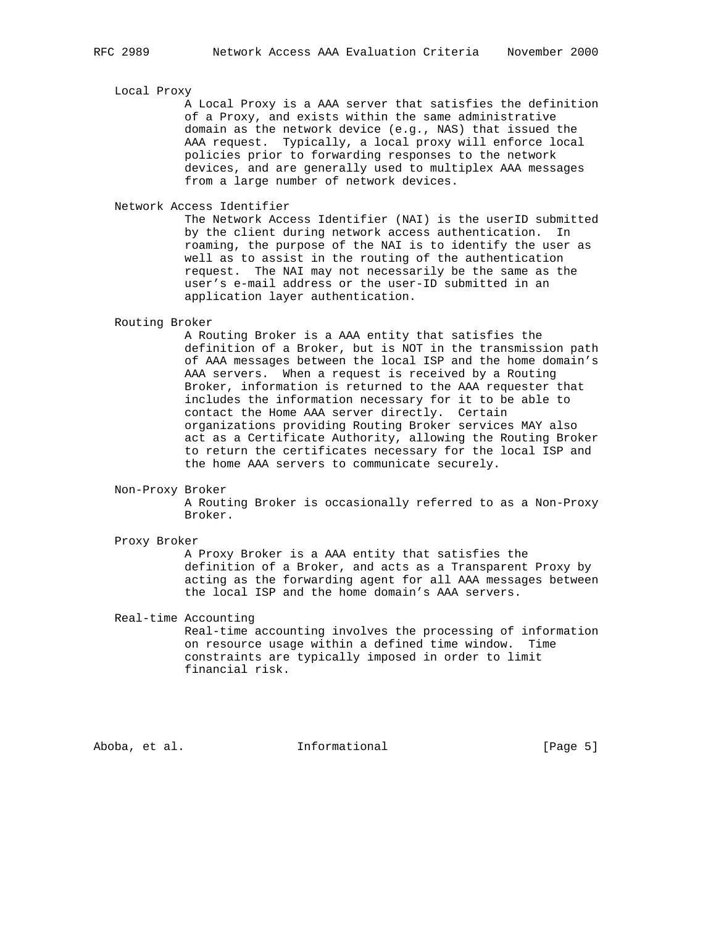### Local Proxy

 A Local Proxy is a AAA server that satisfies the definition of a Proxy, and exists within the same administrative domain as the network device (e.g., NAS) that issued the AAA request. Typically, a local proxy will enforce local policies prior to forwarding responses to the network devices, and are generally used to multiplex AAA messages from a large number of network devices.

Network Access Identifier

 The Network Access Identifier (NAI) is the userID submitted by the client during network access authentication. In roaming, the purpose of the NAI is to identify the user as well as to assist in the routing of the authentication request. The NAI may not necessarily be the same as the user's e-mail address or the user-ID submitted in an application layer authentication.

# Routing Broker

 A Routing Broker is a AAA entity that satisfies the definition of a Broker, but is NOT in the transmission path of AAA messages between the local ISP and the home domain's AAA servers. When a request is received by a Routing Broker, information is returned to the AAA requester that includes the information necessary for it to be able to contact the Home AAA server directly. Certain organizations providing Routing Broker services MAY also act as a Certificate Authority, allowing the Routing Broker to return the certificates necessary for the local ISP and the home AAA servers to communicate securely.

#### Non-Proxy Broker

 A Routing Broker is occasionally referred to as a Non-Proxy Broker.

### Proxy Broker

 A Proxy Broker is a AAA entity that satisfies the definition of a Broker, and acts as a Transparent Proxy by acting as the forwarding agent for all AAA messages between the local ISP and the home domain's AAA servers.

### Real-time Accounting

 Real-time accounting involves the processing of information on resource usage within a defined time window. Time constraints are typically imposed in order to limit financial risk.

Aboba, et al. **Informational** [Page 5]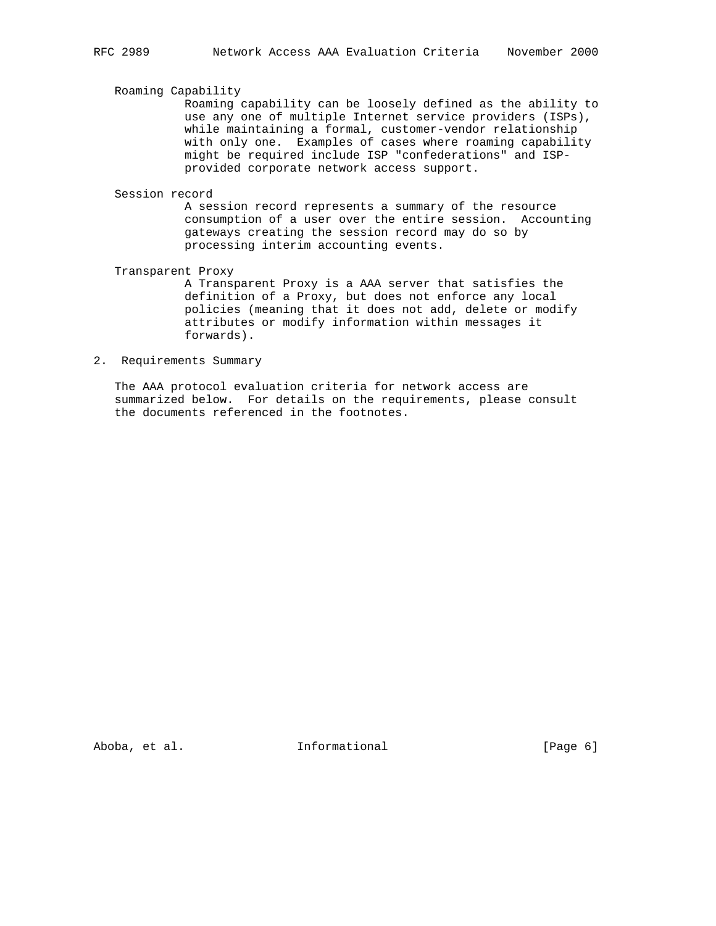## Roaming Capability

 Roaming capability can be loosely defined as the ability to use any one of multiple Internet service providers (ISPs), while maintaining a formal, customer-vendor relationship with only one. Examples of cases where roaming capability might be required include ISP "confederations" and ISP provided corporate network access support.

## Session record

 A session record represents a summary of the resource consumption of a user over the entire session. Accounting gateways creating the session record may do so by processing interim accounting events.

## Transparent Proxy

 A Transparent Proxy is a AAA server that satisfies the definition of a Proxy, but does not enforce any local policies (meaning that it does not add, delete or modify attributes or modify information within messages it forwards).

# 2. Requirements Summary

 The AAA protocol evaluation criteria for network access are summarized below. For details on the requirements, please consult the documents referenced in the footnotes.

Aboba, et al. **Informational** (Page 6)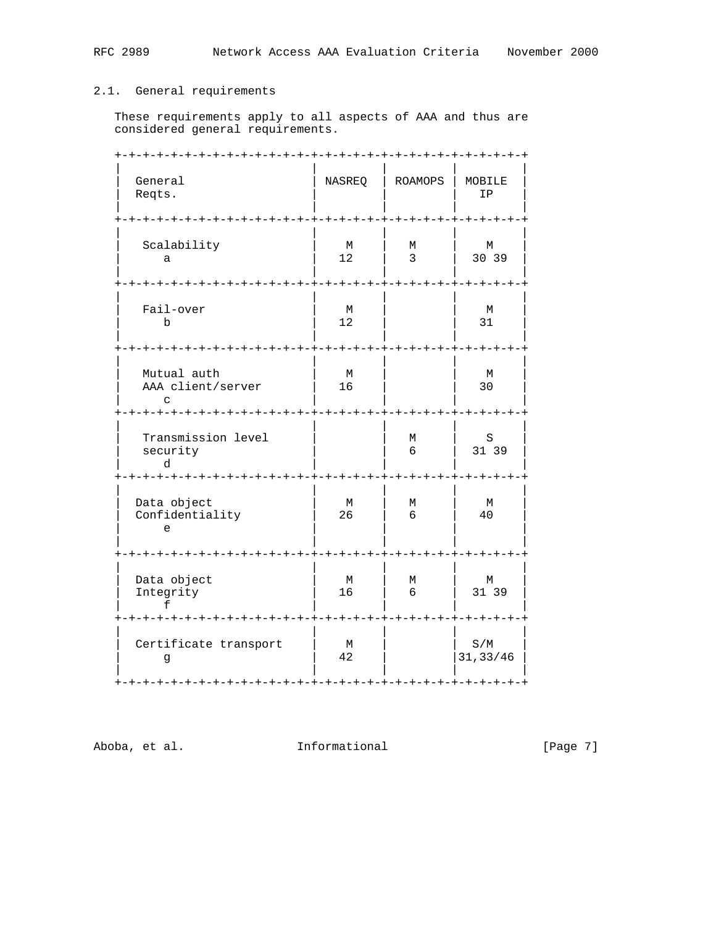# 2.1. General requirements

 These requirements apply to all aspects of AAA and thus are considered general requirements.

| General<br>Reqts.                                                        | ーナーナーナー<br>NASREQ                          | ーナーナーナーナ<br><b>ROAMOPS</b>             | ーナーナーナーナ<br>MOBILE<br>IP |
|--------------------------------------------------------------------------|--------------------------------------------|----------------------------------------|--------------------------|
| Scalability<br>a                                                         | $-+ - + - + - +$<br>М<br>12<br>$- + - + -$ | -+-+-+-+<br>М<br>$\mathbf{3}$          | -+-+-+<br>М<br>30 39     |
| Fail-over<br>b                                                           | M<br>12<br>$- + - + - +$                   | -+-+-+                                 | M<br>31                  |
| Mutual auth<br>AAA client/server<br>$\Gamma$<br>$+ - + - + - +$          | М<br>16                                    |                                        | М<br>30                  |
| Transmission level<br>security<br>d<br>+-+-+-+-+-+-+<br>$-+ - + - + - +$ | -+-+-+                                     | М<br>6<br>$- + - +$                    | S<br>31 39<br>-+-+       |
| Data object<br>Confidentiality<br>e                                      | М<br>26                                    | М<br>6                                 | М<br>40                  |
| Data object<br>Integrity<br>-+-+-+-+-+-+-+-+-+-+                         | -+-+-+-+-<br>М<br>16                       | ーナーナー<br>М<br>6<br>-+-+-+-+-+-+-+-+-+- | ー+ー+<br>М<br>31 39       |
| Certificate transport<br>g                                               | M<br>42                                    |                                        | S/M<br>31, 33/46         |

Aboba, et al. 111formational 1116 [Page 7]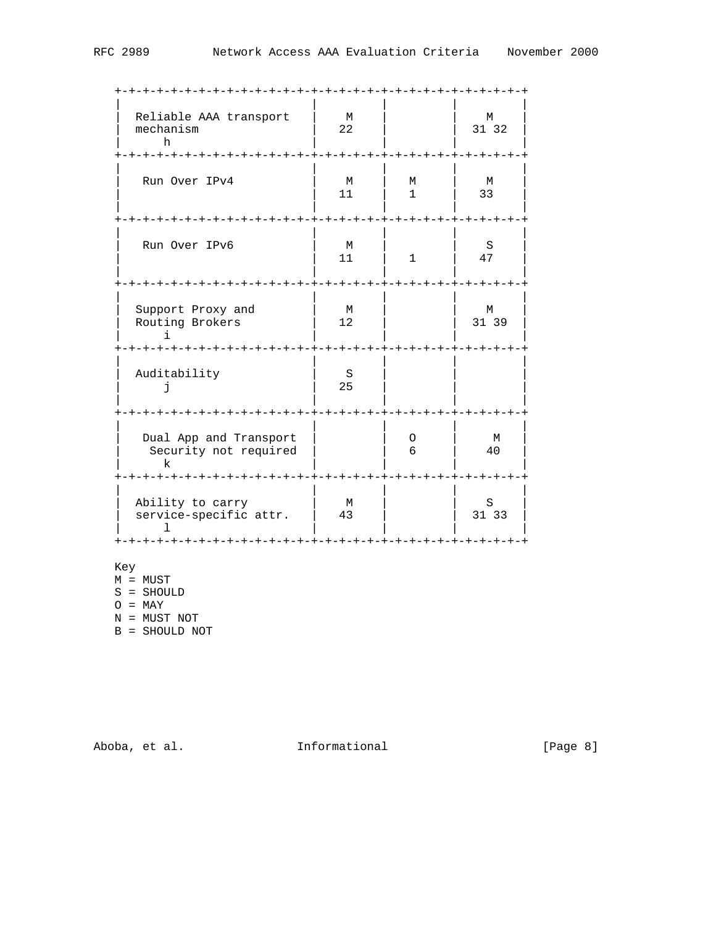| Reliable AAA transport<br>mechanism<br>h                                        | М<br>22 |                   | M<br>31 32 |
|---------------------------------------------------------------------------------|---------|-------------------|------------|
| Run Over IPv4                                                                   | M<br>11 | М<br>$\mathbf{1}$ | M<br>33    |
| Run Over IPv6                                                                   | M<br>11 | $\mathbf{1}$      | S<br>47    |
| Support Proxy and<br>Routing Brokers                                            | M<br>12 |                   | М<br>31 39 |
| Auditability<br>F.                                                              | S<br>25 |                   |            |
| Dual App and Transport<br>Security not required<br>k                            |         | 0<br>6            | M<br>40    |
| Ability to carry<br>service-specific attr.<br>-+-+-+-+-+-+-+-+-+-+-+-+-+-+-+-+- | M<br>43 | <b>-+-+-+-+-+</b> | S<br>31 33 |

Key

M = MUST

S = SHOULD

 $O = \text{MAX}$ 

N = MUST NOT

B = SHOULD NOT

Aboba, et al. 1nformational 1999 [Page 8]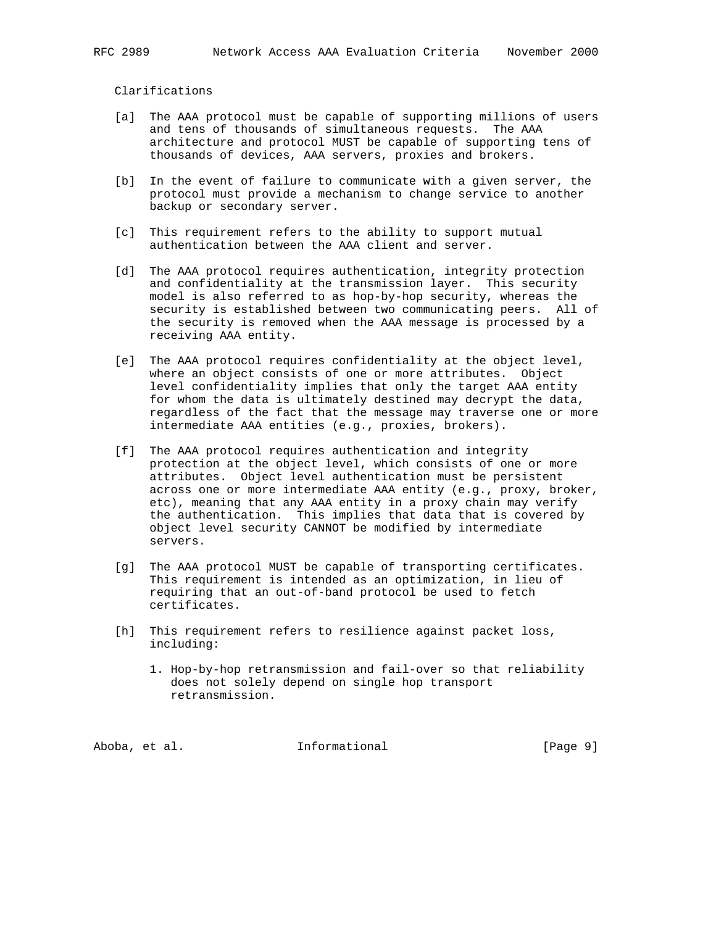# Clarifications

- [a] The AAA protocol must be capable of supporting millions of users and tens of thousands of simultaneous requests. The AAA architecture and protocol MUST be capable of supporting tens of thousands of devices, AAA servers, proxies and brokers.
- [b] In the event of failure to communicate with a given server, the protocol must provide a mechanism to change service to another backup or secondary server.
- [c] This requirement refers to the ability to support mutual authentication between the AAA client and server.
- [d] The AAA protocol requires authentication, integrity protection and confidentiality at the transmission layer. This security model is also referred to as hop-by-hop security, whereas the security is established between two communicating peers. All of the security is removed when the AAA message is processed by a receiving AAA entity.
- [e] The AAA protocol requires confidentiality at the object level, where an object consists of one or more attributes. Object level confidentiality implies that only the target AAA entity for whom the data is ultimately destined may decrypt the data, regardless of the fact that the message may traverse one or more intermediate AAA entities (e.g., proxies, brokers).
- [f] The AAA protocol requires authentication and integrity protection at the object level, which consists of one or more attributes. Object level authentication must be persistent across one or more intermediate AAA entity (e.g., proxy, broker, etc), meaning that any AAA entity in a proxy chain may verify the authentication. This implies that data that is covered by object level security CANNOT be modified by intermediate servers.
- [g] The AAA protocol MUST be capable of transporting certificates. This requirement is intended as an optimization, in lieu of requiring that an out-of-band protocol be used to fetch certificates.
- [h] This requirement refers to resilience against packet loss, including:
	- 1. Hop-by-hop retransmission and fail-over so that reliability does not solely depend on single hop transport retransmission.

Aboba, et al.  $I_n$  Informational (Page 9)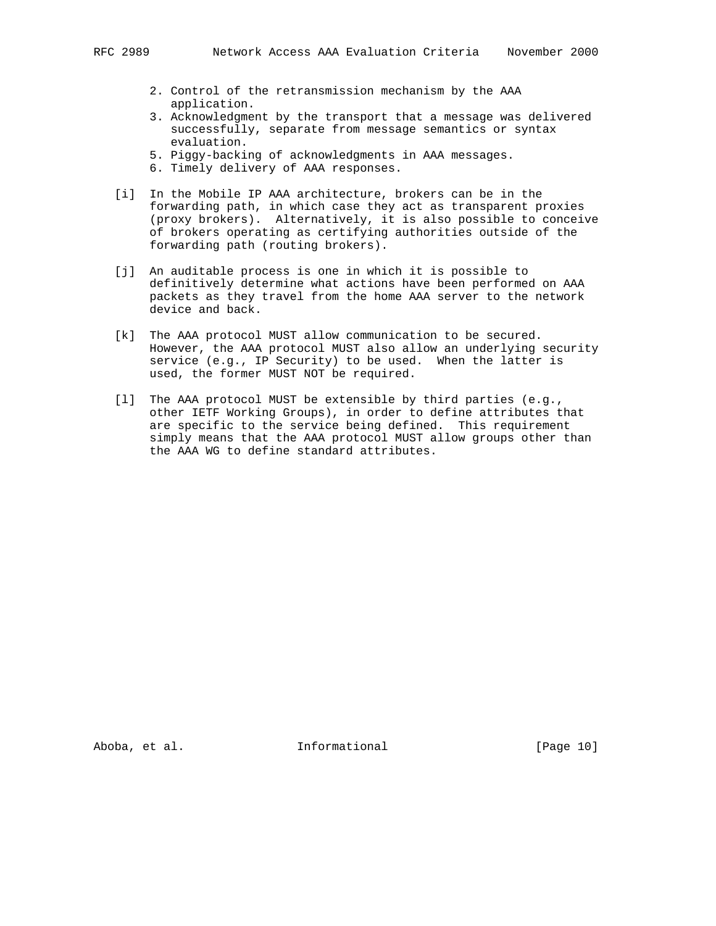- 2. Control of the retransmission mechanism by the AAA application.
- 3. Acknowledgment by the transport that a message was delivered successfully, separate from message semantics or syntax evaluation.
- 5. Piggy-backing of acknowledgments in AAA messages.
- 6. Timely delivery of AAA responses.
- [i] In the Mobile IP AAA architecture, brokers can be in the forwarding path, in which case they act as transparent proxies (proxy brokers). Alternatively, it is also possible to conceive of brokers operating as certifying authorities outside of the forwarding path (routing brokers).
- [j] An auditable process is one in which it is possible to definitively determine what actions have been performed on AAA packets as they travel from the home AAA server to the network device and back.
- [k] The AAA protocol MUST allow communication to be secured. However, the AAA protocol MUST also allow an underlying security service (e.g., IP Security) to be used. When the latter is used, the former MUST NOT be required.
- [l] The AAA protocol MUST be extensible by third parties (e.g., other IETF Working Groups), in order to define attributes that are specific to the service being defined. This requirement simply means that the AAA protocol MUST allow groups other than the AAA WG to define standard attributes.

Aboba, et al. 10 Informational 10 [Page 10]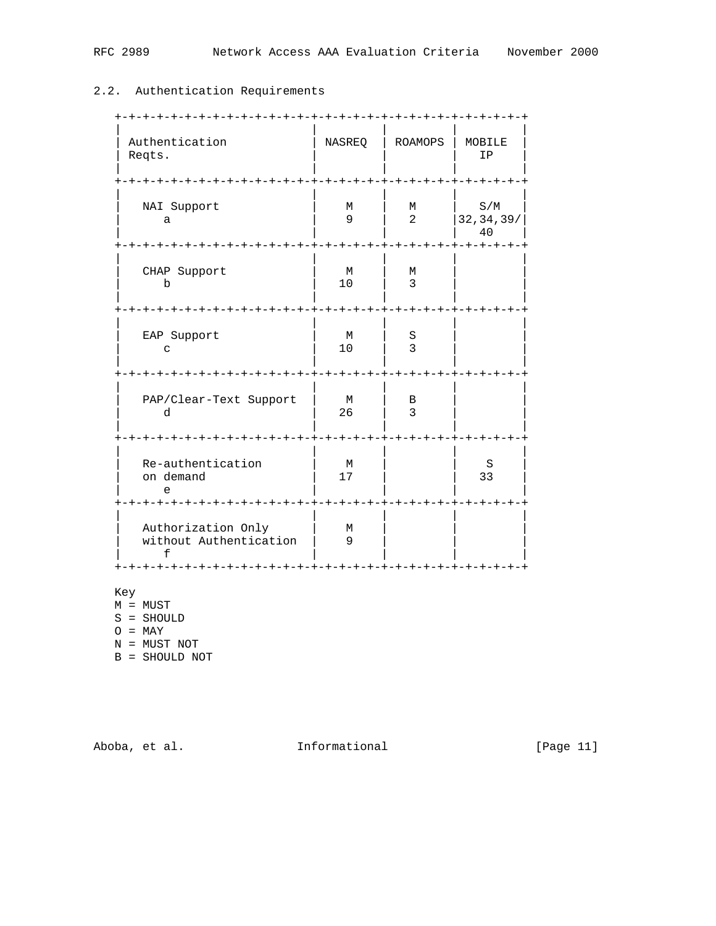# 2.2. Authentication Requirements

| Authentication<br>Reqts.                                                 | <b>NASREQ</b>                   | <b>ROAMOPS</b>                                | - + – + – + – + – +<br>MOBILE<br>IP |
|--------------------------------------------------------------------------|---------------------------------|-----------------------------------------------|-------------------------------------|
| NAI Support<br>a<br>+-+-+-+-+-+-+-+-+-+                                  | М<br>$\mathsf{Q}$<br>-+-+-+-+-+ | М<br>$\overline{a}$<br>-+-+-+-+-+-+-+-+-+-+-+ | S/M<br>32, 34, 39/<br>40            |
| CHAP Support<br>$\mathbf b$<br>+-+-+-+-+-+-+-+-+                         | M<br>10<br>-+-+-+-+-+-+-+-+-+   | М<br>3                                        | -+-+-+                              |
| EAP Support<br>C                                                         | M<br>10                         | S<br>3                                        | ーナーナーナーナ                            |
| PAP/Clear-Text Support<br>d                                              | M<br>26                         | В<br>3                                        |                                     |
| Re-authentication<br>on demand<br>e                                      | M<br>17                         |                                               | S<br>33                             |
| Authorization Only<br>without Authentication<br>f<br>- + – + – + – + – + | М<br>9<br>キーキーキーキー              |                                               |                                     |

Key

M = MUST

S = SHOULD

 $O = \text{MAX}$ 

N = MUST NOT

B = SHOULD NOT

Aboba, et al. 10 Informational 11 [Page 11]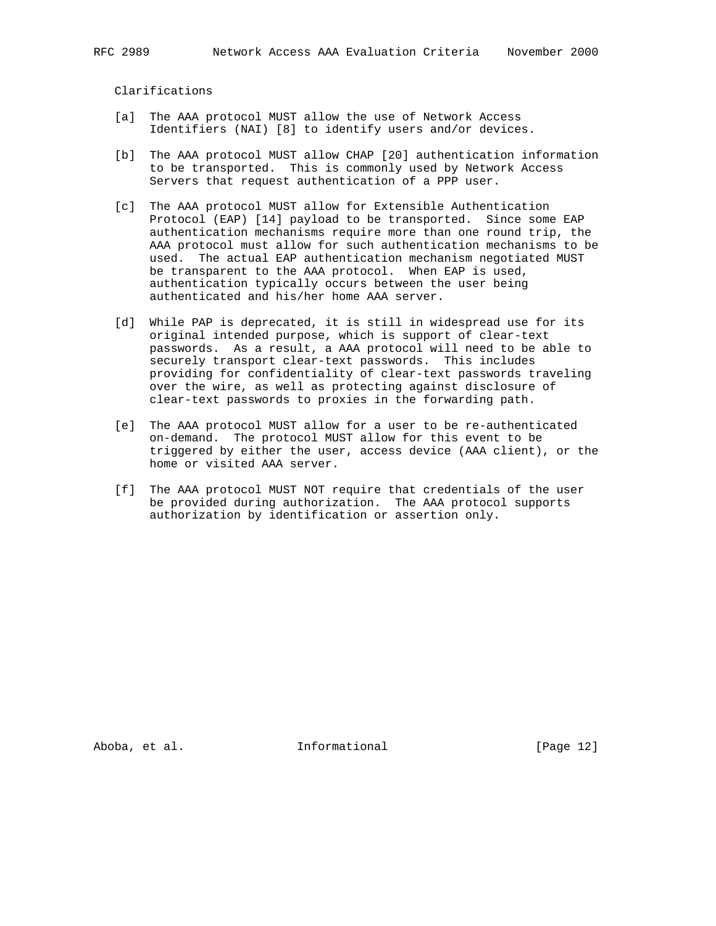Clarifications

- [a] The AAA protocol MUST allow the use of Network Access Identifiers (NAI) [8] to identify users and/or devices.
- [b] The AAA protocol MUST allow CHAP [20] authentication information to be transported. This is commonly used by Network Access Servers that request authentication of a PPP user.
- [c] The AAA protocol MUST allow for Extensible Authentication Protocol (EAP) [14] payload to be transported. Since some EAP authentication mechanisms require more than one round trip, the AAA protocol must allow for such authentication mechanisms to be used. The actual EAP authentication mechanism negotiated MUST be transparent to the AAA protocol. When EAP is used, authentication typically occurs between the user being authenticated and his/her home AAA server.
- [d] While PAP is deprecated, it is still in widespread use for its original intended purpose, which is support of clear-text passwords. As a result, a AAA protocol will need to be able to securely transport clear-text passwords. This includes providing for confidentiality of clear-text passwords traveling over the wire, as well as protecting against disclosure of clear-text passwords to proxies in the forwarding path.
- [e] The AAA protocol MUST allow for a user to be re-authenticated on-demand. The protocol MUST allow for this event to be triggered by either the user, access device (AAA client), or the home or visited AAA server.
- [f] The AAA protocol MUST NOT require that credentials of the user be provided during authorization. The AAA protocol supports authorization by identification or assertion only.

Aboba, et al. **Informational** [Page 12]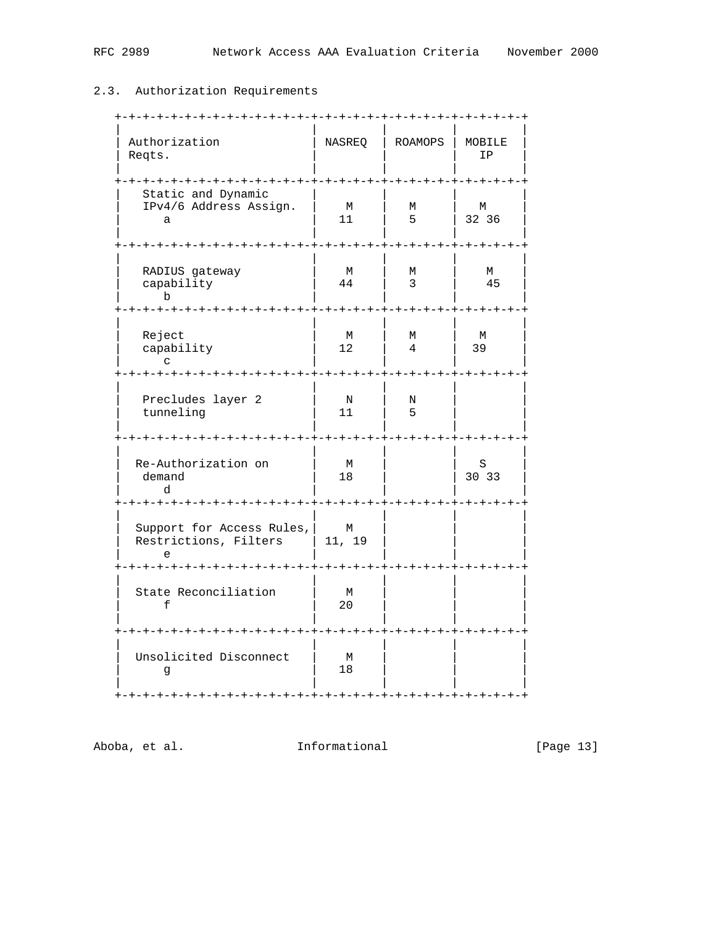# 2.3. Authorization Requirements

| Authorization<br>Reqts.                                             | NASREQ                                                 | ROAMOPS                        | MOBILE<br>IP            |
|---------------------------------------------------------------------|--------------------------------------------------------|--------------------------------|-------------------------|
| Static and Dynamic<br>IPv4/6 Address Assign.<br>a                   | $+ - + - +$<br>М<br>11                                 | $- + - + - +$<br>М<br>5        | $- + - +$<br>М<br>32 36 |
| RADIUS gateway<br>capability<br>b<br>-+-+-+-+-+-+-+-+               | $+ - + - + - +$<br>М<br>44<br>-+-+-+-+-+-+-+-+-+-+-+-+ | $- + - +$<br>М<br>3            | М<br>45<br>-+-+-+--     |
| Reject<br>capability<br>$\sim$<br>+-+-+-+-+<br>-+-+-+-+-+-+-+       | М<br>12                                                | М<br>4<br>$-+ - + - + - + - +$ | M<br>39                 |
| Precludes layer 2<br>tunneling                                      | N<br>11                                                | N<br>5                         |                         |
| Re-Authorization on<br>demand<br>d                                  | М<br>18                                                |                                | S<br>30 33<br>$- + - +$ |
| Support for Access Rules,<br>Restrictions, Filters<br>e<br>-+-+-+-+ | М<br>  11, 19<br>+-+-+-+-+-                            |                                |                         |
| State Reconciliation<br>f                                           | М<br>20                                                |                                |                         |
| Unsolicited Disconnect<br>g                                         | $-+ - + - +$<br>М<br>18                                |                                |                         |

Aboba, et al. 1nformational 1999 [Page 13]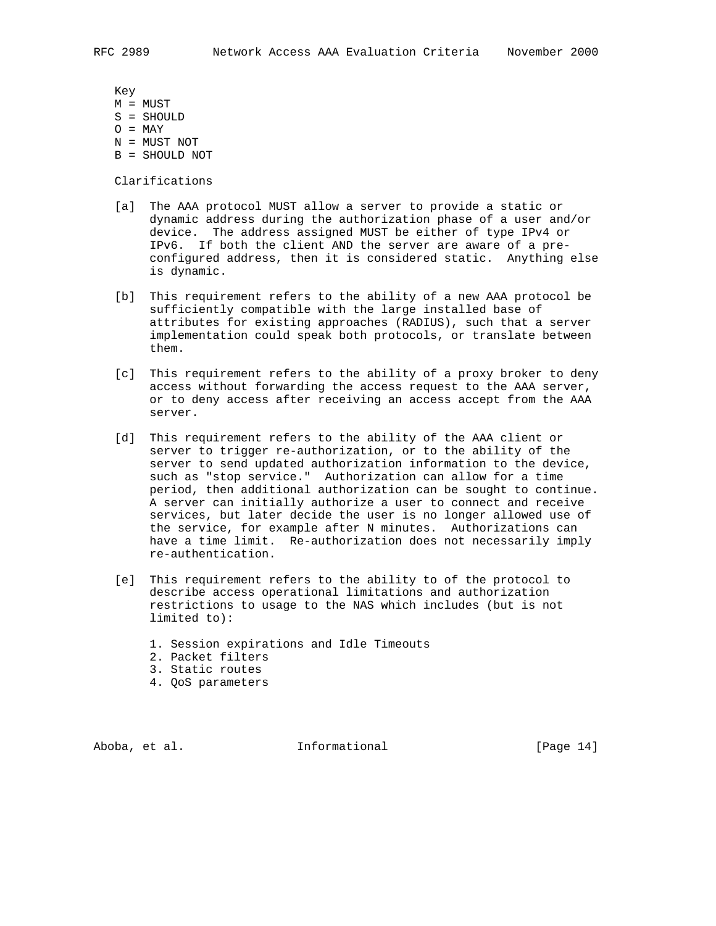Key

- M = MUST
- S = SHOULD
- $O = \text{MAX}$
- N = MUST NOT
- B = SHOULD NOT

Clarifications

- [a] The AAA protocol MUST allow a server to provide a static or dynamic address during the authorization phase of a user and/or device. The address assigned MUST be either of type IPv4 or IPv6. If both the client AND the server are aware of a pre configured address, then it is considered static. Anything else is dynamic.
- [b] This requirement refers to the ability of a new AAA protocol be sufficiently compatible with the large installed base of attributes for existing approaches (RADIUS), such that a server implementation could speak both protocols, or translate between them.
- [c] This requirement refers to the ability of a proxy broker to deny access without forwarding the access request to the AAA server, or to deny access after receiving an access accept from the AAA server.
- [d] This requirement refers to the ability of the AAA client or server to trigger re-authorization, or to the ability of the server to send updated authorization information to the device, such as "stop service." Authorization can allow for a time period, then additional authorization can be sought to continue. A server can initially authorize a user to connect and receive services, but later decide the user is no longer allowed use of the service, for example after N minutes. Authorizations can have a time limit. Re-authorization does not necessarily imply re-authentication.
- [e] This requirement refers to the ability to of the protocol to describe access operational limitations and authorization restrictions to usage to the NAS which includes (but is not limited to):
	- 1. Session expirations and Idle Timeouts
	- 2. Packet filters
	- 3. Static routes
	- 4. QoS parameters

Aboba, et al. Informational [Page 14]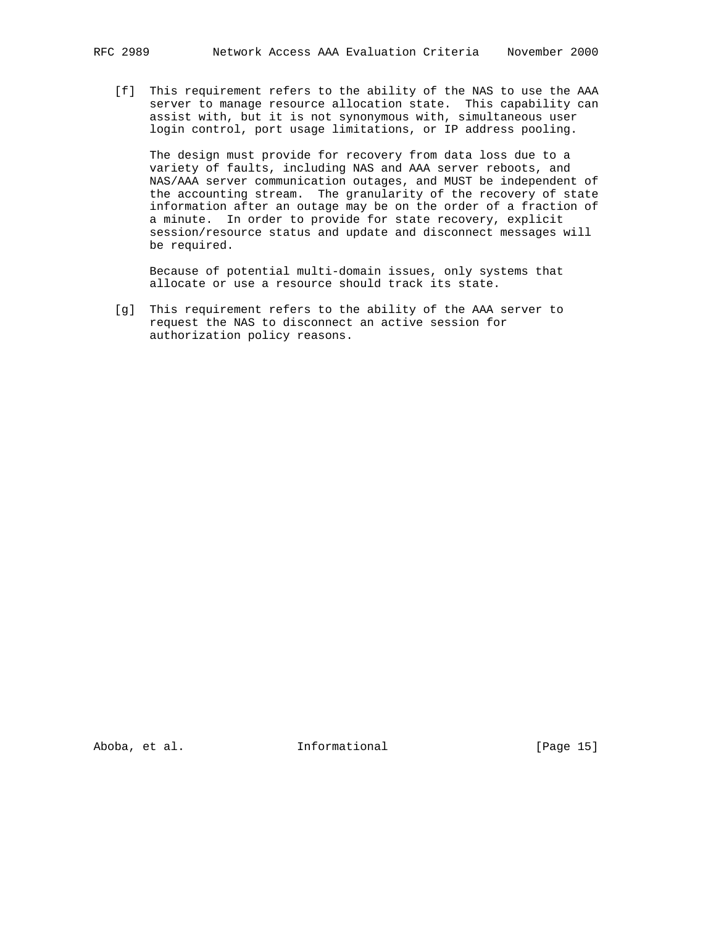[f] This requirement refers to the ability of the NAS to use the AAA server to manage resource allocation state. This capability can assist with, but it is not synonymous with, simultaneous user login control, port usage limitations, or IP address pooling.

 The design must provide for recovery from data loss due to a variety of faults, including NAS and AAA server reboots, and NAS/AAA server communication outages, and MUST be independent of the accounting stream. The granularity of the recovery of state information after an outage may be on the order of a fraction of a minute. In order to provide for state recovery, explicit session/resource status and update and disconnect messages will be required.

 Because of potential multi-domain issues, only systems that allocate or use a resource should track its state.

 [g] This requirement refers to the ability of the AAA server to request the NAS to disconnect an active session for authorization policy reasons.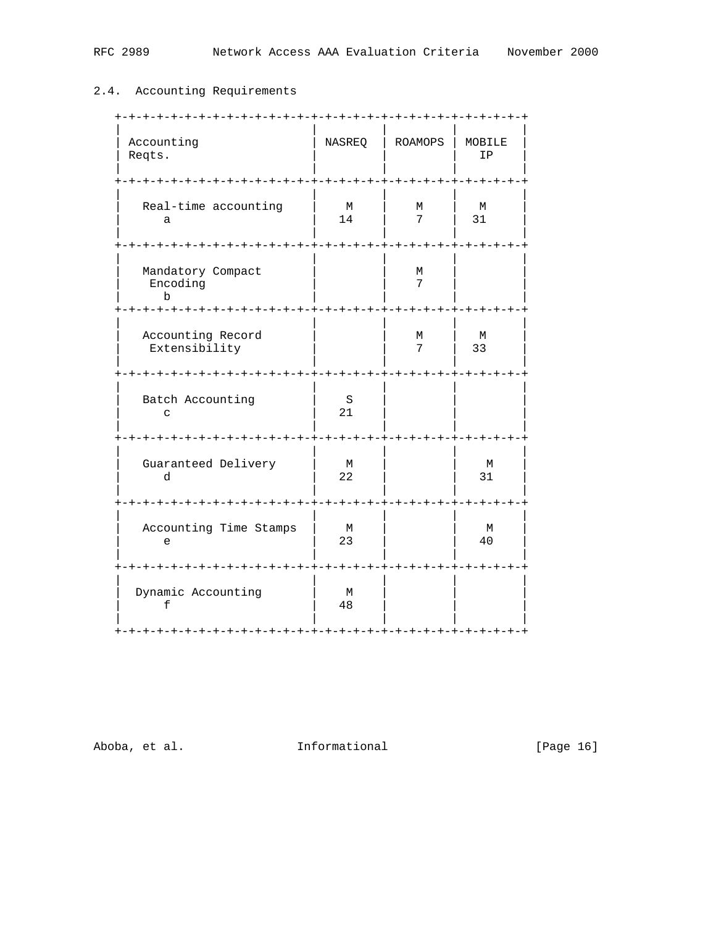# 2.4. Accounting Requirements

| Accounting<br>Reqts.                                          | NASREQ              | <b>ROAMOPS</b>                          | MOBILE<br>ΙP        |
|---------------------------------------------------------------|---------------------|-----------------------------------------|---------------------|
| Real-time accounting<br>a                                     | М<br>14             | М<br>7                                  | М<br>31             |
| - + – + – + – + – + – +<br>Mandatory Compact<br>Encoding<br>b | - + – + – + – +     | -+-+-+<br>М<br>7                        | $\cdot + - + \cdot$ |
| Accounting Record<br>Extensibility                            |                     | -+-+-+-+-+-+-+-+-+-+-+-+-+-+-<br>М<br>7 | М<br>33             |
| Batch Accounting<br>C                                         | S<br>21             |                                         |                     |
| Guaranteed Delivery<br>d                                      | М<br>22             |                                         | М<br>31             |
| -+-+-+-+-+-<br>Accounting Time Stamps<br>e                    | М<br>23             |                                         | М<br>40             |
| -+-+-+-+-+-+-+-+-+-+-+-+-<br>Dynamic Accounting<br>f          | -+-+-+-+<br>М<br>48 | -+-+-+-+-+-                             | -+-+-+              |

Aboba, et al. 1nformational [Page 16]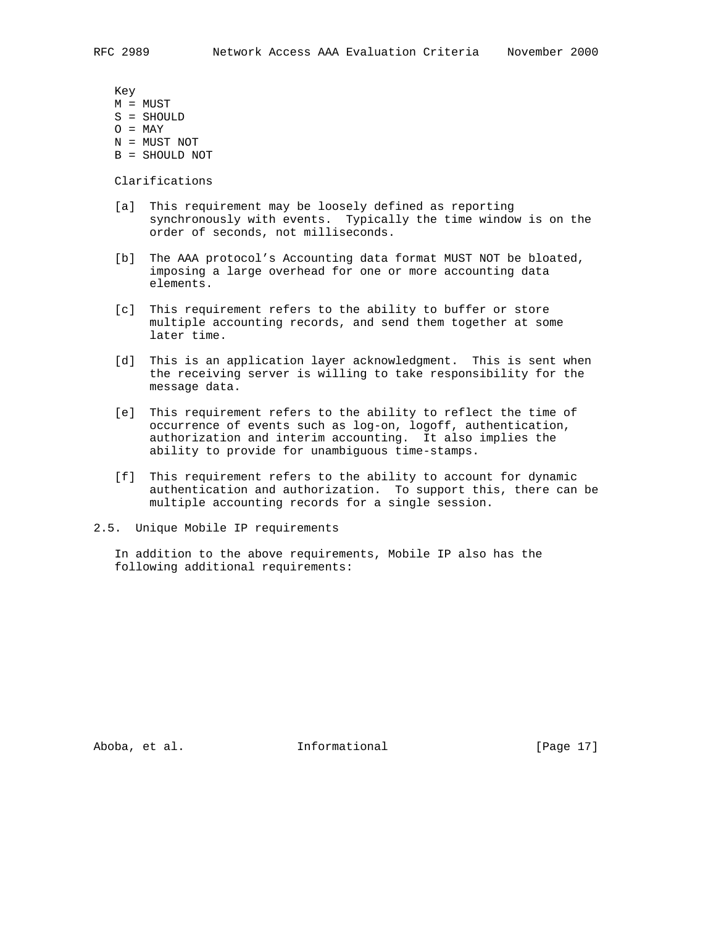Key

- M = MUST
- S = SHOULD
- $O = \text{MAX}$
- N = MUST NOT
- B = SHOULD NOT

Clarifications

- [a] This requirement may be loosely defined as reporting synchronously with events. Typically the time window is on the order of seconds, not milliseconds.
- [b] The AAA protocol's Accounting data format MUST NOT be bloated, imposing a large overhead for one or more accounting data elements.
- [c] This requirement refers to the ability to buffer or store multiple accounting records, and send them together at some later time.
- [d] This is an application layer acknowledgment. This is sent when the receiving server is willing to take responsibility for the message data.
- [e] This requirement refers to the ability to reflect the time of occurrence of events such as log-on, logoff, authentication, authorization and interim accounting. It also implies the ability to provide for unambiguous time-stamps.
- [f] This requirement refers to the ability to account for dynamic authentication and authorization. To support this, there can be multiple accounting records for a single session.
- 2.5. Unique Mobile IP requirements

 In addition to the above requirements, Mobile IP also has the following additional requirements:

Aboba, et al. Informational [Page 17]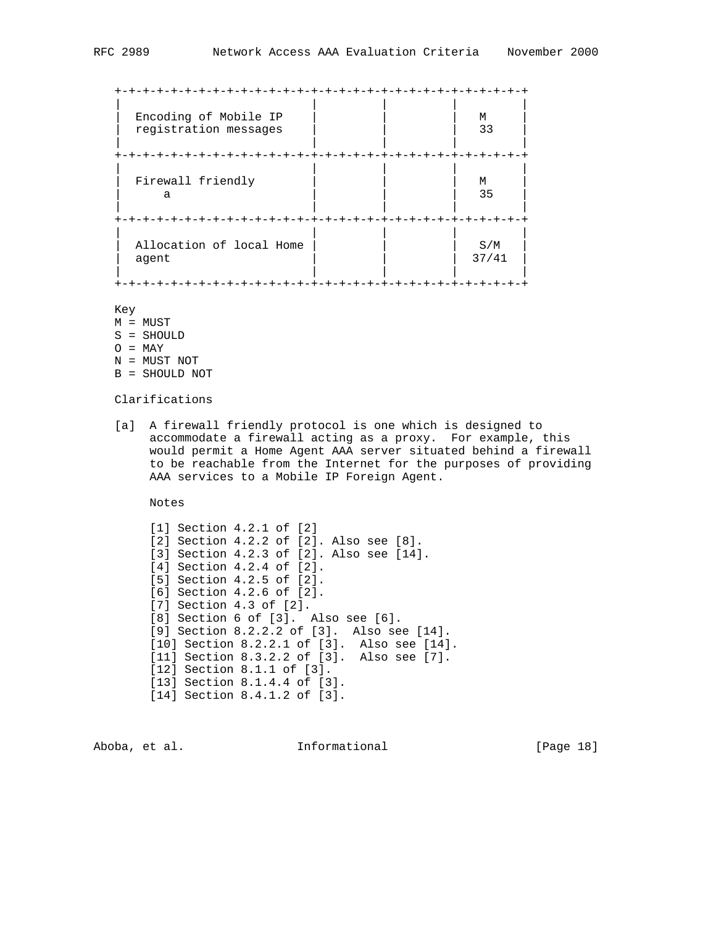| Encoding of Mobile IP<br>registration messages | М<br>33      |
|------------------------------------------------|--------------|
|                                                |              |
| Firewall friendly<br>a                         | М<br>35      |
|                                                |              |
| Allocation of local Home<br>agent              | S/M<br>37/41 |
|                                                |              |

# Key

- M = MUST S = SHOULD  $O = \text{MAX}$
- N = MUST NOT
- B = SHOULD NOT

# Clarifications

 [a] A firewall friendly protocol is one which is designed to accommodate a firewall acting as a proxy. For example, this would permit a Home Agent AAA server situated behind a firewall to be reachable from the Internet for the purposes of providing AAA services to a Mobile IP Foreign Agent.

Notes

 [1] Section 4.2.1 of [2] [2] Section 4.2.2 of [2]. Also see [8]. [3] Section 4.2.3 of [2]. Also see [14]. [4] Section 4.2.4 of [2]. [5] Section 4.2.5 of [2]. [6] Section 4.2.6 of [2]. [7] Section 4.3 of [2]. [8] Section 6 of [3]. Also see [6]. [9] Section 8.2.2.2 of [3]. Also see [14]. [10] Section 8.2.2.1 of [3]. Also see [14]. [11] Section 8.3.2.2 of [3]. Also see [7]. [12] Section 8.1.1 of [3]. [13] Section 8.1.4.4 of [3]. [14] Section 8.4.1.2 of [3].

Aboba, et al. 10 Informational 1999 [Page 18]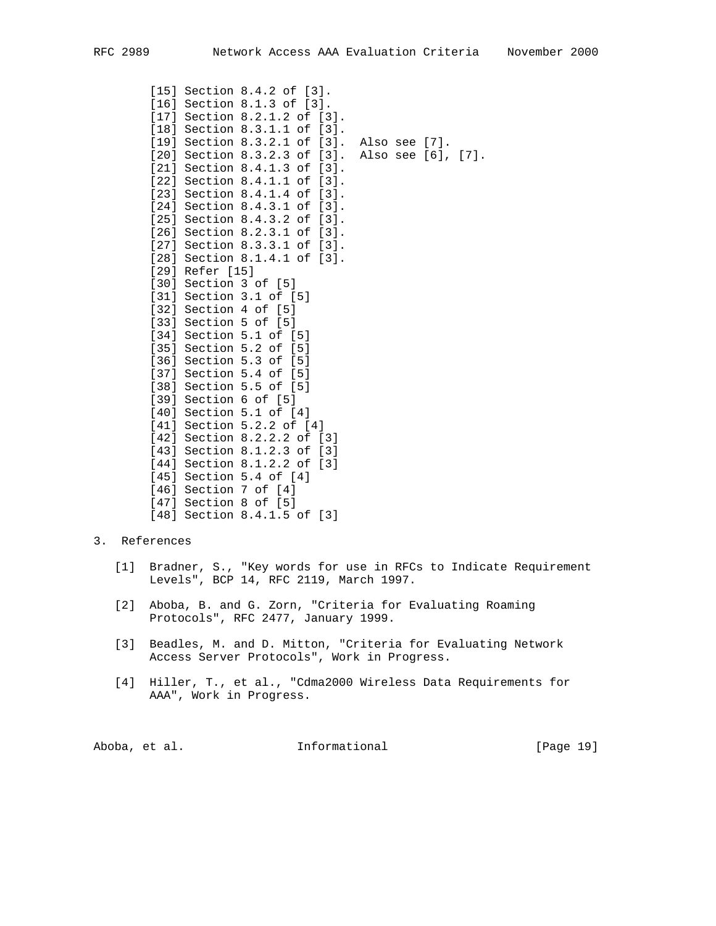```
 [15] Section 8.4.2 of [3].
 [16] Section 8.1.3 of [3].
 [17] Section 8.2.1.2 of [3].
 [18] Section 8.3.1.1 of [3].
 [19] Section 8.3.2.1 of [3]. Also see [7].
 [20] Section 8.3.2.3 of [3]. Also see [6], [7].
 [21] Section 8.4.1.3 of [3].
[22] Section 8.4.1.1 of [3].
[23] Section 8.4.1.4 of [3].
[24] Section 8.4.3.1 of [3].
 [25] Section 8.4.3.2 of [3].
 [26] Section 8.2.3.1 of [3].
 [27] Section 8.3.3.1 of [3].
 [28] Section 8.1.4.1 of [3].
 [29] Refer [15]
 [30] Section 3 of [5]
 [31] Section 3.1 of [5]
 [32] Section 4 of [5]
 [33] Section 5 of [5]
 [34] Section 5.1 of [5]
 [35] Section 5.2 of [5]
 [36] Section 5.3 of [5]
 [37] Section 5.4 of [5]
 [38] Section 5.5 of [5]
 [39] Section 6 of [5]
 [40] Section 5.1 of [4]
 [41] Section 5.2.2 of [4]
 [42] Section 8.2.2.2 of [3]
 [43] Section 8.1.2.3 of [3]
 [44] Section 8.1.2.2 of [3]
 [45] Section 5.4 of [4]
 [46] Section 7 of [4]
 [47] Section 8 of [5]
 [48] Section 8.4.1.5 of [3]
```
# 3. References

- [1] Bradner, S., "Key words for use in RFCs to Indicate Requirement Levels", BCP 14, RFC 2119, March 1997.
- [2] Aboba, B. and G. Zorn, "Criteria for Evaluating Roaming Protocols", RFC 2477, January 1999.
- [3] Beadles, M. and D. Mitton, "Criteria for Evaluating Network Access Server Protocols", Work in Progress.
- [4] Hiller, T., et al., "Cdma2000 Wireless Data Requirements for AAA", Work in Progress.

| [Page 19]<br>Informational<br>Aboba, et al. |  |  |  |  |  |
|---------------------------------------------|--|--|--|--|--|
|---------------------------------------------|--|--|--|--|--|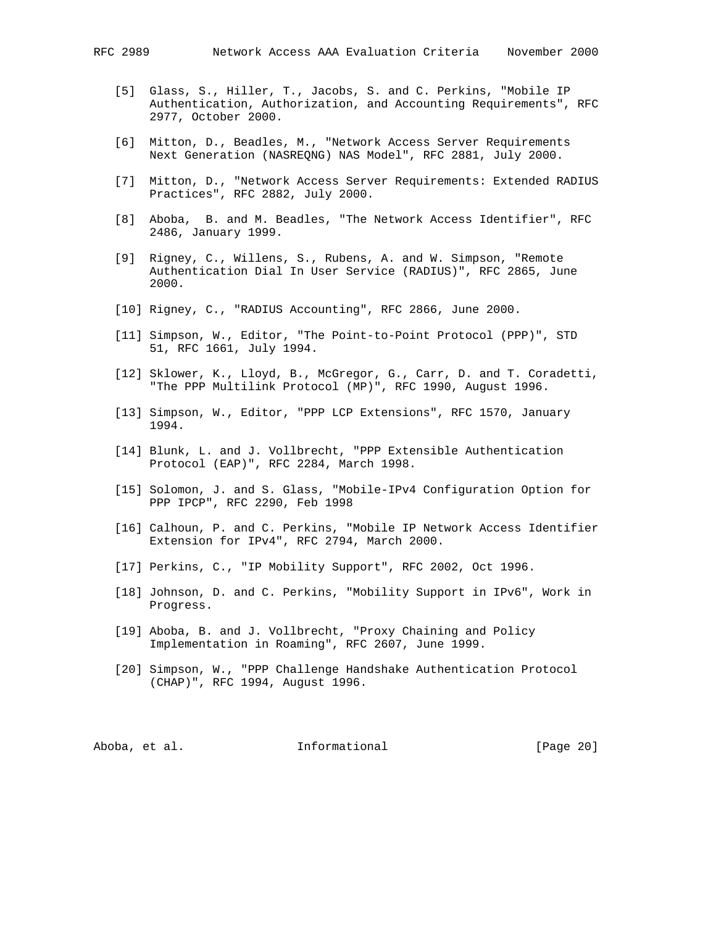- [5] Glass, S., Hiller, T., Jacobs, S. and C. Perkins, "Mobile IP Authentication, Authorization, and Accounting Requirements", RFC 2977, October 2000.
- [6] Mitton, D., Beadles, M., "Network Access Server Requirements Next Generation (NASREQNG) NAS Model", RFC 2881, July 2000.
- [7] Mitton, D., "Network Access Server Requirements: Extended RADIUS Practices", RFC 2882, July 2000.
- [8] Aboba, B. and M. Beadles, "The Network Access Identifier", RFC 2486, January 1999.
- [9] Rigney, C., Willens, S., Rubens, A. and W. Simpson, "Remote Authentication Dial In User Service (RADIUS)", RFC 2865, June 2000.
- [10] Rigney, C., "RADIUS Accounting", RFC 2866, June 2000.
- [11] Simpson, W., Editor, "The Point-to-Point Protocol (PPP)", STD 51, RFC 1661, July 1994.
- [12] Sklower, K., Lloyd, B., McGregor, G., Carr, D. and T. Coradetti, "The PPP Multilink Protocol (MP)", RFC 1990, August 1996.
- [13] Simpson, W., Editor, "PPP LCP Extensions", RFC 1570, January 1994.
- [14] Blunk, L. and J. Vollbrecht, "PPP Extensible Authentication Protocol (EAP)", RFC 2284, March 1998.
- [15] Solomon, J. and S. Glass, "Mobile-IPv4 Configuration Option for PPP IPCP", RFC 2290, Feb 1998
- [16] Calhoun, P. and C. Perkins, "Mobile IP Network Access Identifier Extension for IPv4", RFC 2794, March 2000.
- [17] Perkins, C., "IP Mobility Support", RFC 2002, Oct 1996.
- [18] Johnson, D. and C. Perkins, "Mobility Support in IPv6", Work in Progress.
- [19] Aboba, B. and J. Vollbrecht, "Proxy Chaining and Policy Implementation in Roaming", RFC 2607, June 1999.
- [20] Simpson, W., "PPP Challenge Handshake Authentication Protocol (CHAP)", RFC 1994, August 1996.

Aboba, et al. **Informational** [Page 20]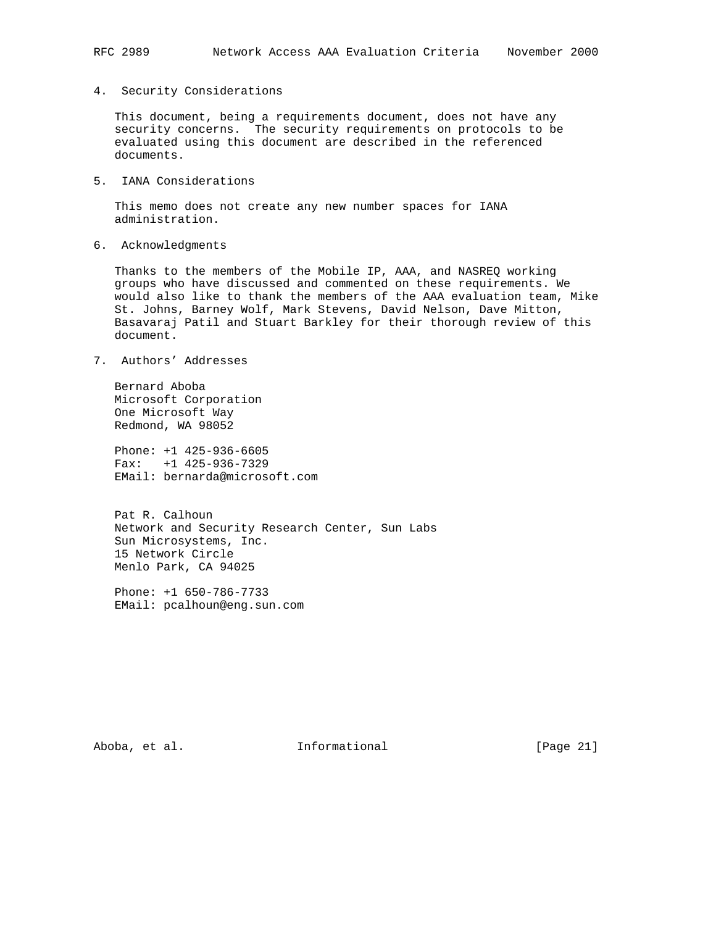4. Security Considerations

 This document, being a requirements document, does not have any security concerns. The security requirements on protocols to be evaluated using this document are described in the referenced documents.

5. IANA Considerations

 This memo does not create any new number spaces for IANA administration.

6. Acknowledgments

 Thanks to the members of the Mobile IP, AAA, and NASREQ working groups who have discussed and commented on these requirements. We would also like to thank the members of the AAA evaluation team, Mike St. Johns, Barney Wolf, Mark Stevens, David Nelson, Dave Mitton, Basavaraj Patil and Stuart Barkley for their thorough review of this document.

7. Authors' Addresses

 Bernard Aboba Microsoft Corporation One Microsoft Way Redmond, WA 98052

 Phone: +1 425-936-6605 Fax: +1 425-936-7329 EMail: bernarda@microsoft.com

 Pat R. Calhoun Network and Security Research Center, Sun Labs Sun Microsystems, Inc. 15 Network Circle Menlo Park, CA 94025

 Phone: +1 650-786-7733 EMail: pcalhoun@eng.sun.com

Aboba, et al. 10 Informational 1999 [Page 21]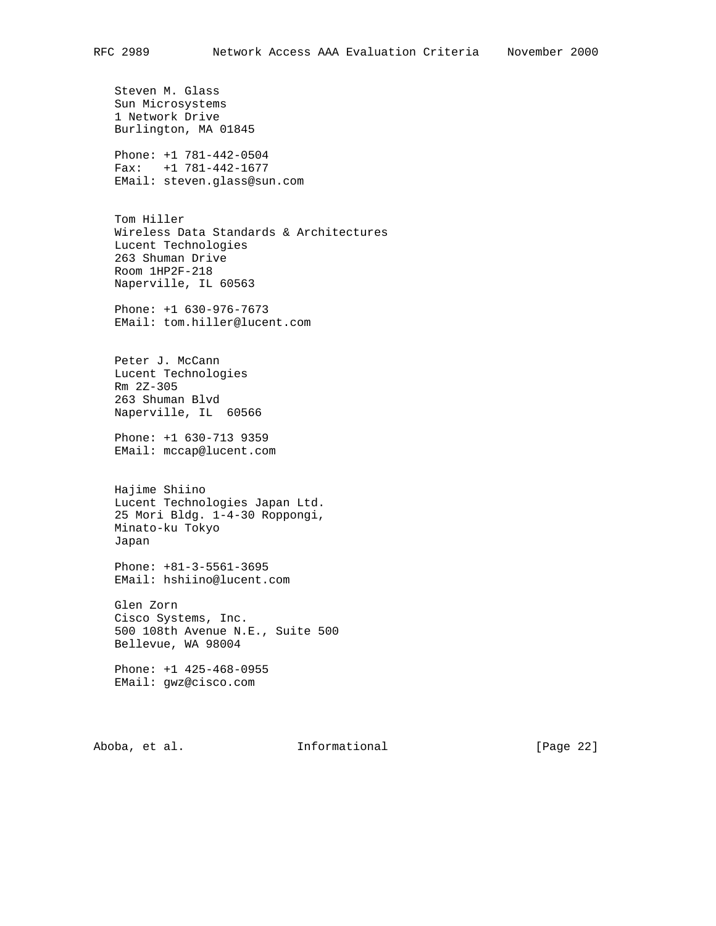Steven M. Glass Sun Microsystems 1 Network Drive Burlington, MA 01845 Phone: +1 781-442-0504 Fax: +1 781-442-1677 EMail: steven.glass@sun.com Tom Hiller Wireless Data Standards & Architectures Lucent Technologies 263 Shuman Drive Room 1HP2F-218 Naperville, IL 60563 Phone: +1 630-976-7673 EMail: tom.hiller@lucent.com Peter J. McCann Lucent Technologies Rm 2Z-305 263 Shuman Blvd Naperville, IL 60566 Phone: +1 630-713 9359 EMail: mccap@lucent.com Hajime Shiino Lucent Technologies Japan Ltd. 25 Mori Bldg. 1-4-30 Roppongi, Minato-ku Tokyo Japan Phone: +81-3-5561-3695 EMail: hshiino@lucent.com Glen Zorn Cisco Systems, Inc. 500 108th Avenue N.E., Suite 500 Bellevue, WA 98004 Phone: +1 425-468-0955 EMail: gwz@cisco.com Aboba, et al. 10 Informational 1999 [Page 22]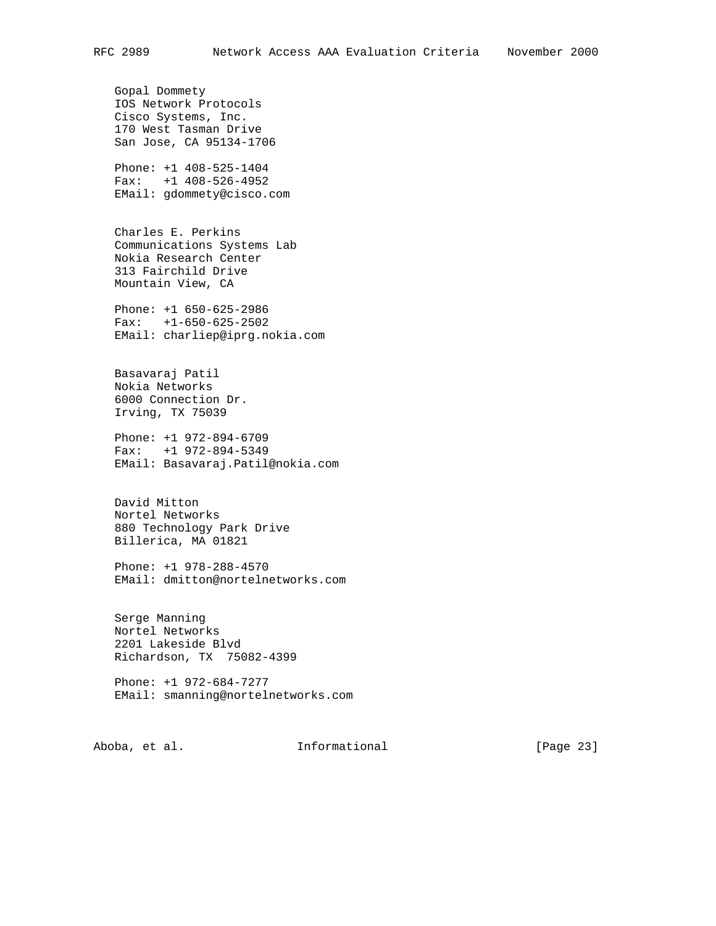Gopal Dommety IOS Network Protocols Cisco Systems, Inc. 170 West Tasman Drive San Jose, CA 95134-1706 Phone: +1 408-525-1404 Fax: +1 408-526-4952 EMail: gdommety@cisco.com Charles E. Perkins Communications Systems Lab Nokia Research Center 313 Fairchild Drive Mountain View, CA Phone: +1 650-625-2986 Fax: +1-650-625-2502 EMail: charliep@iprg.nokia.com Basavaraj Patil Nokia Networks 6000 Connection Dr. Irving, TX 75039 Phone: +1 972-894-6709 Fax: +1 972-894-5349 EMail: Basavaraj.Patil@nokia.com David Mitton Nortel Networks 880 Technology Park Drive Billerica, MA 01821 Phone: +1 978-288-4570 EMail: dmitton@nortelnetworks.com Serge Manning Nortel Networks 2201 Lakeside Blvd Richardson, TX 75082-4399 Phone: +1 972-684-7277 EMail: smanning@nortelnetworks.com Aboba, et al. **Informational** [Page 23]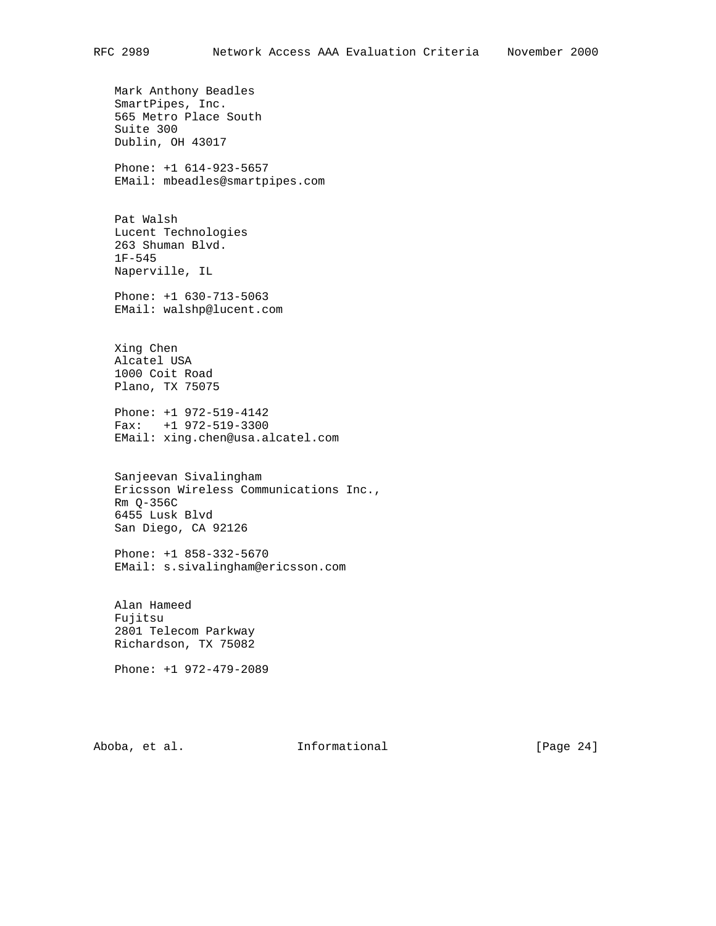Mark Anthony Beadles SmartPipes, Inc. 565 Metro Place South

 Suite 300 Dublin, OH 43017

 Phone: +1 614-923-5657 EMail: mbeadles@smartpipes.com

 Pat Walsh Lucent Technologies 263 Shuman Blvd. 1F-545 Naperville, IL

 Phone: +1 630-713-5063 EMail: walshp@lucent.com

 Xing Chen Alcatel USA 1000 Coit Road Plano, TX 75075

 Phone: +1 972-519-4142 Fax: +1 972-519-3300 EMail: xing.chen@usa.alcatel.com

 Sanjeevan Sivalingham Ericsson Wireless Communications Inc., Rm Q-356C 6455 Lusk Blvd San Diego, CA 92126

 Phone: +1 858-332-5670 EMail: s.sivalingham@ericsson.com

 Alan Hameed Fujitsu 2801 Telecom Parkway Richardson, TX 75082

Phone: +1 972-479-2089

Aboba, et al. 10 Informational 1999 [Page 24]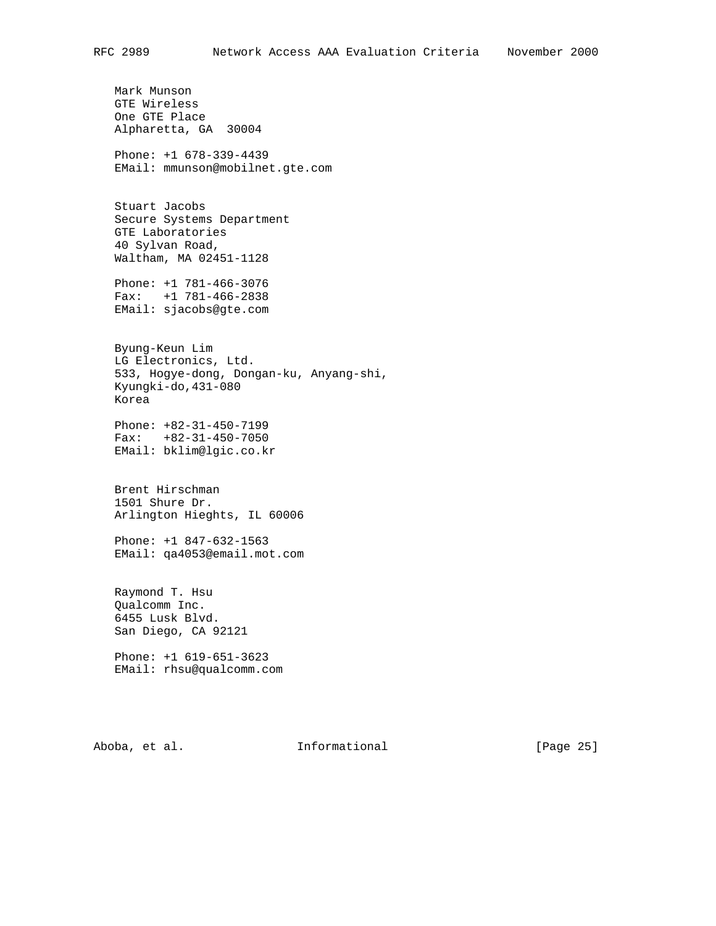Mark Munson GTE Wireless One GTE Place Alpharetta, GA 30004 Phone: +1 678-339-4439

EMail: mmunson@mobilnet.gte.com

 Stuart Jacobs Secure Systems Department GTE Laboratories 40 Sylvan Road, Waltham, MA 02451-1128

 Phone: +1 781-466-3076 Fax: +1 781-466-2838 EMail: sjacobs@gte.com

 Byung-Keun Lim LG Electronics, Ltd. 533, Hogye-dong, Dongan-ku, Anyang-shi, Kyungki-do,431-080 Korea

 Phone: +82-31-450-7199 Fax: +82-31-450-7050 EMail: bklim@lgic.co.kr

 Brent Hirschman 1501 Shure Dr. Arlington Hieghts, IL 60006

 Phone: +1 847-632-1563 EMail: qa4053@email.mot.com

 Raymond T. Hsu Qualcomm Inc. 6455 Lusk Blvd. San Diego, CA 92121

 Phone: +1 619-651-3623 EMail: rhsu@qualcomm.com

Aboba, et al. 10 Informational 1999 [Page 25]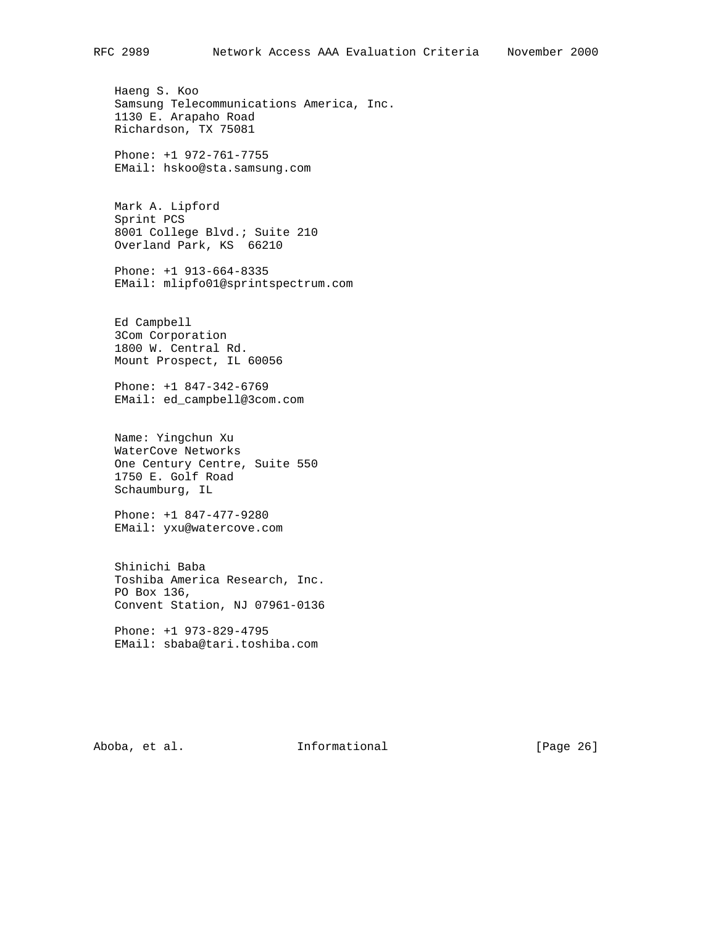Haeng S. Koo Samsung Telecommunications America, Inc. 1130 E. Arapaho Road Richardson, TX 75081

 Phone: +1 972-761-7755 EMail: hskoo@sta.samsung.com

 Mark A. Lipford Sprint PCS 8001 College Blvd.; Suite 210 Overland Park, KS 66210

 Phone: +1 913-664-8335 EMail: mlipfo01@sprintspectrum.com

 Ed Campbell 3Com Corporation 1800 W. Central Rd. Mount Prospect, IL 60056

 Phone: +1 847-342-6769 EMail: ed\_campbell@3com.com

 Name: Yingchun Xu WaterCove Networks One Century Centre, Suite 550 1750 E. Golf Road Schaumburg, IL

 Phone: +1 847-477-9280 EMail: yxu@watercove.com

 Shinichi Baba Toshiba America Research, Inc. PO Box 136, Convent Station, NJ 07961-0136

 Phone: +1 973-829-4795 EMail: sbaba@tari.toshiba.com

Aboba, et al. **Informational** [Page 26]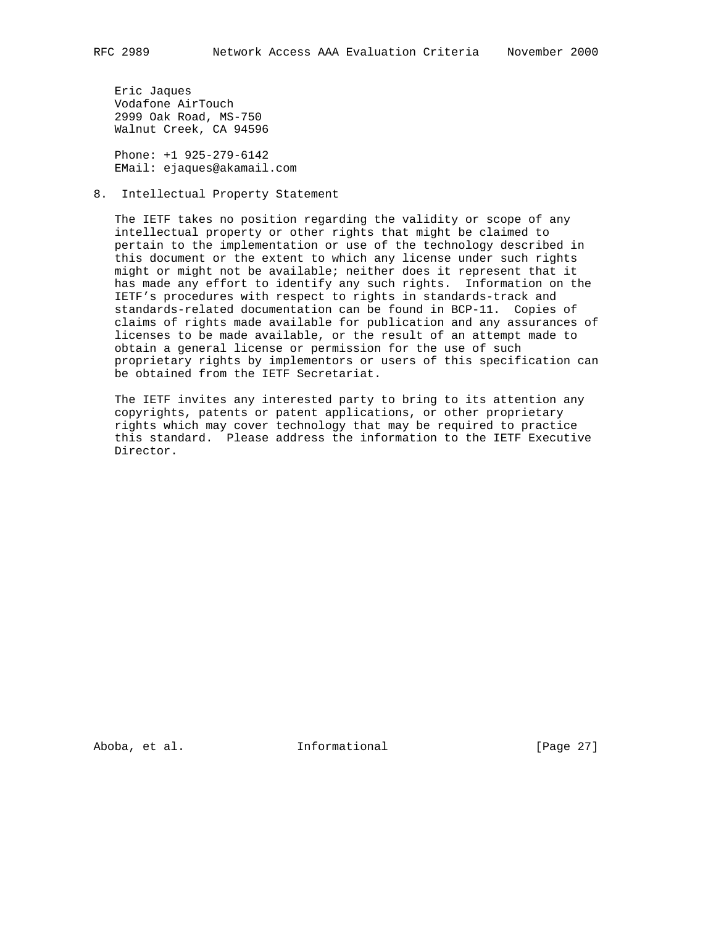Eric Jaques Vodafone AirTouch 2999 Oak Road, MS-750 Walnut Creek, CA 94596

 Phone: +1 925-279-6142 EMail: ejaques@akamail.com

8. Intellectual Property Statement

 The IETF takes no position regarding the validity or scope of any intellectual property or other rights that might be claimed to pertain to the implementation or use of the technology described in this document or the extent to which any license under such rights might or might not be available; neither does it represent that it has made any effort to identify any such rights. Information on the IETF's procedures with respect to rights in standards-track and standards-related documentation can be found in BCP-11. Copies of claims of rights made available for publication and any assurances of licenses to be made available, or the result of an attempt made to obtain a general license or permission for the use of such proprietary rights by implementors or users of this specification can be obtained from the IETF Secretariat.

 The IETF invites any interested party to bring to its attention any copyrights, patents or patent applications, or other proprietary rights which may cover technology that may be required to practice this standard. Please address the information to the IETF Executive Director.

Aboba, et al. **Informational** [Page 27]